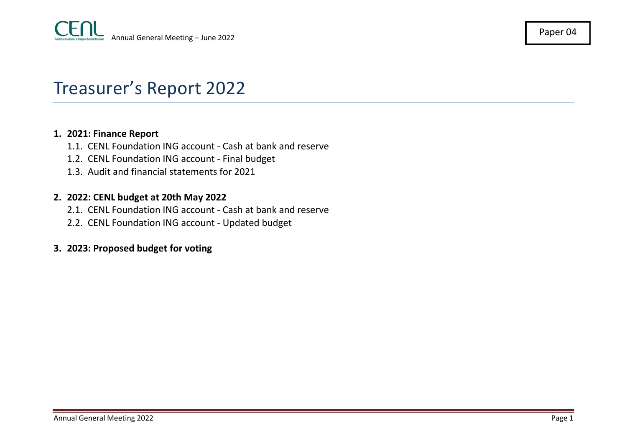

# Treasurer's Report 2022

#### **1. 2021: Finance Report**

- 1.1. CENL Foundation ING account Cash at bank and reserve
- 1.2. CENL Foundation ING account Final budget
- 1.3. Audit and financial statements for 2021

#### **2. 2022: CENL budget at 20th May 2022**

- 2.1. CENL Foundation ING account Cash at bank and reserve
- 2.2. CENL Foundation ING account Updated budget

#### **3. 2023: Proposed budget for voting**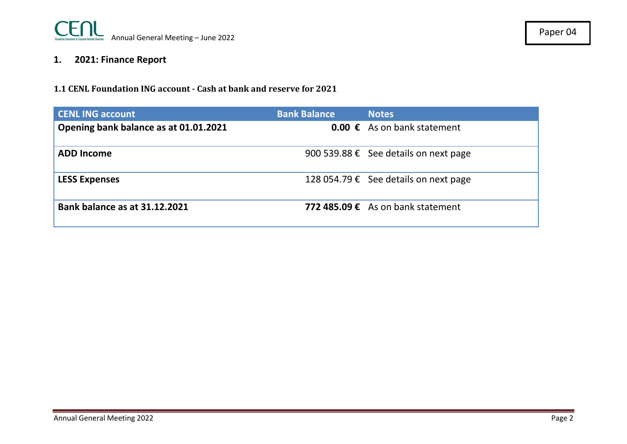

## **1. 2021: Finance Report**

#### **1.1 CENL Foundation ING account - Cash at bank and reserve for 2021**

| <b>CENLING account</b>                | <b>Bank Balance</b> | <b>Notes</b>                               |
|---------------------------------------|---------------------|--------------------------------------------|
| Opening bank balance as at 01.01.2021 |                     | <b>0.00 €</b> As on bank statement         |
| <b>ADD Income</b>                     |                     | 900 539.88 € See details on next page      |
| <b>LESS Expenses</b>                  |                     | 128 054.79 € See details on next page      |
| Bank balance as at 31.12.2021         |                     | 772 485.09 $\epsilon$ As on bank statement |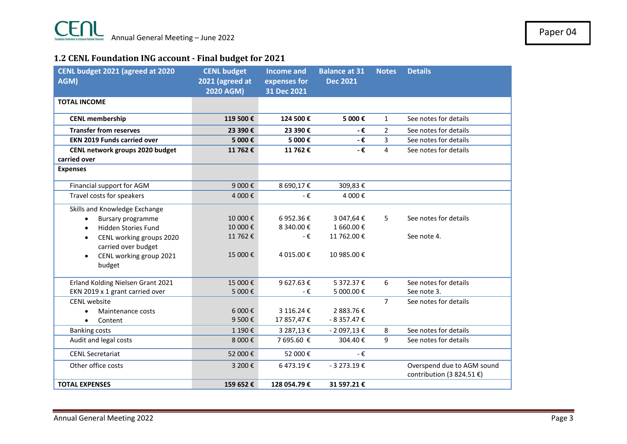## **1.2 CENL Foundation ING account - Final budget for 2021**

| CENL budget 2021 (agreed at 2020<br>AGM)                                                                       | <b>CENL budget</b><br>2021 (agreed at | <b>Income and</b><br>expenses for | <b>Balance at 31</b><br><b>Dec 2021</b> | <b>Notes</b>   | <b>Details</b>                                          |
|----------------------------------------------------------------------------------------------------------------|---------------------------------------|-----------------------------------|-----------------------------------------|----------------|---------------------------------------------------------|
| <b>TOTAL INCOME</b>                                                                                            | 2020 AGM)                             | 31 Dec 2021                       |                                         |                |                                                         |
|                                                                                                                |                                       |                                   |                                         |                |                                                         |
| <b>CENL membership</b>                                                                                         | 119 500€                              | 124 500€                          | 5 000€                                  | $\mathbf{1}$   | See notes for details                                   |
| <b>Transfer from reserves</b>                                                                                  | 23 390€                               | 23 390€                           | - €                                     | $\overline{2}$ | See notes for details                                   |
| <b>EKN 2019 Funds carried over</b>                                                                             | 5 000€                                | 5 000€                            | - $\epsilon$                            | 3              | See notes for details                                   |
| CENL network groups 2020 budget                                                                                | 11 762€                               | 11 762€                           | - €                                     | 4              | See notes for details                                   |
| carried over                                                                                                   |                                       |                                   |                                         |                |                                                         |
| <b>Expenses</b>                                                                                                |                                       |                                   |                                         |                |                                                         |
| Financial support for AGM                                                                                      | 9 000€                                | 8 690,17€                         | 309,83€                                 |                |                                                         |
| Travel costs for speakers                                                                                      | 4 000€                                | - $\varepsilon$                   | 4 000 €                                 |                |                                                         |
| Skills and Knowledge Exchange<br>Bursary programme<br>$\bullet$<br><b>Hidden Stories Fund</b><br>$\bullet$     | 10 000€<br>10 000€                    | 6952.36€<br>8 340.00 €            | 3 047,64 €<br>1 660.00€                 | 5              | See notes for details                                   |
| CENL working groups 2020<br>$\bullet$<br>carried over budget<br>CENL working group 2021<br>$\bullet$<br>budget | 11 762€<br>15 000€                    | - €<br>4 015.00€                  | 11 762.00€<br>10 985.00 €               |                | See note 4.                                             |
| Erland Kolding Nielsen Grant 2021<br>EKN 2019 x 1 grant carried over                                           | 15 000€<br>5 000€                     | 9627.63€<br>- €                   | 5 372.37 €<br>5 000.00€                 | 6              | See notes for details<br>See note 3.                    |
| <b>CENL</b> website<br>Maintenance costs<br>$\bullet$<br>Content<br>$\bullet$                                  | 6 000€<br>9 500€                      | 3 116.24 €<br>17 857,47 €         | 2 883.76€<br>$-8357.47 \t€$             | $\overline{7}$ | See notes for details                                   |
| <b>Banking costs</b>                                                                                           | 1 190€                                | 3 287,13 €                        | $-2097,13€$                             | 8              | See notes for details                                   |
| Audit and legal costs                                                                                          | 8 000€                                | 7 695.60 €                        | 304.40€                                 | 9              | See notes for details                                   |
| <b>CENL Secretariat</b>                                                                                        | 52 000€                               | 52 000€                           | - €                                     |                |                                                         |
| Other office costs                                                                                             | 3 200€                                | 6473.19€                          | $-3273.19€$                             |                | Overspend due to AGM sound<br>contribution (3 824.51 €) |
| <b>TOTAL EXPENSES</b>                                                                                          | 159 652€                              | 128 054.79€                       | 31 597.21 €                             |                |                                                         |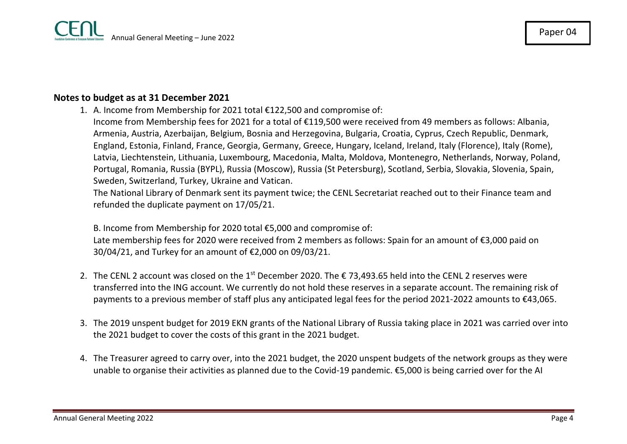#### **Notes to budget as at 31 December 2021**

1. A. Income from Membership for 2021 total €122,500 and compromise of:

Income from Membership fees for 2021 for a total of €119,500 were received from 49 members as follows: Albania, Armenia, Austria, Azerbaijan, Belgium, Bosnia and Herzegovina, Bulgaria, Croatia, Cyprus, Czech Republic, Denmark, England, Estonia, Finland, France, Georgia, Germany, Greece, Hungary, Iceland, Ireland, Italy (Florence), Italy (Rome), Latvia, Liechtenstein, Lithuania, Luxembourg, Macedonia, Malta, Moldova, Montenegro, Netherlands, Norway, Poland, Portugal, Romania, Russia (BYPL), Russia (Moscow), Russia (St Petersburg), Scotland, Serbia, Slovakia, Slovenia, Spain, Sweden, Switzerland, Turkey, Ukraine and Vatican.

The National Library of Denmark sent its payment twice; the CENL Secretariat reached out to their Finance team and refunded the duplicate payment on 17/05/21.

B. Income from Membership for 2020 total €5,000 and compromise of:

Late membership fees for 2020 were received from 2 members as follows: Spain for an amount of €3,000 paid on 30/04/21, and Turkey for an amount of €2,000 on 09/03/21.

- 2. The CENL 2 account was closed on the 1<sup>st</sup> December 2020. The € 73,493.65 held into the CENL 2 reserves were transferred into the ING account. We currently do not hold these reserves in a separate account. The remaining risk of payments to a previous member of staff plus any anticipated legal fees for the period 2021-2022 amounts to €43,065.
- 3. The 2019 unspent budget for 2019 EKN grants of the National Library of Russia taking place in 2021 was carried over into the 2021 budget to cover the costs of this grant in the 2021 budget.
- 4. The Treasurer agreed to carry over, into the 2021 budget, the 2020 unspent budgets of the network groups as they were unable to organise their activities as planned due to the Covid-19 pandemic. €5,000 is being carried over for the AI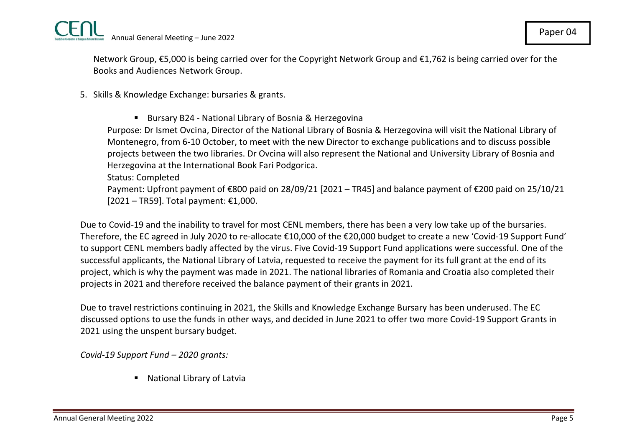

Network Group, €5,000 is being carried over for the Copyright Network Group and €1,762 is being carried over for the Books and Audiences Network Group.

- 5. Skills & Knowledge Exchange: bursaries & grants.
	- Bursary B24 National Library of Bosnia & Herzegovina

Purpose: Dr Ismet Ovcina, Director of the National Library of Bosnia & Herzegovina will visit the National Library of Montenegro, from 6-10 October, to meet with the new Director to exchange publications and to discuss possible projects between the two libraries. Dr Ovcina will also represent the National and University Library of Bosnia and Herzegovina at the International Book Fari Podgorica.

Status: Completed

Payment: Upfront payment of €800 paid on 28/09/21 [2021 – TR45] and balance payment of €200 paid on 25/10/21  $[2021 - TR59]$ . Total payment: €1,000.

Due to Covid-19 and the inability to travel for most CENL members, there has been a very low take up of the bursaries. Therefore, the EC agreed in July 2020 to re-allocate €10,000 of the €20,000 budget to create a new 'Covid-19 Support Fund' to support CENL members badly affected by the virus. Five Covid-19 Support Fund applications were successful. One of the successful applicants, the National Library of Latvia, requested to receive the payment for its full grant at the end of its project, which is why the payment was made in 2021. The national libraries of Romania and Croatia also completed their projects in 2021 and therefore received the balance payment of their grants in 2021.

Due to travel restrictions continuing in 2021, the Skills and Knowledge Exchange Bursary has been underused. The EC discussed options to use the funds in other ways, and decided in June 2021 to offer two more Covid-19 Support Grants in 2021 using the unspent bursary budget.

*Covid-19 Support Fund – 2020 grants:*

National Library of Latvia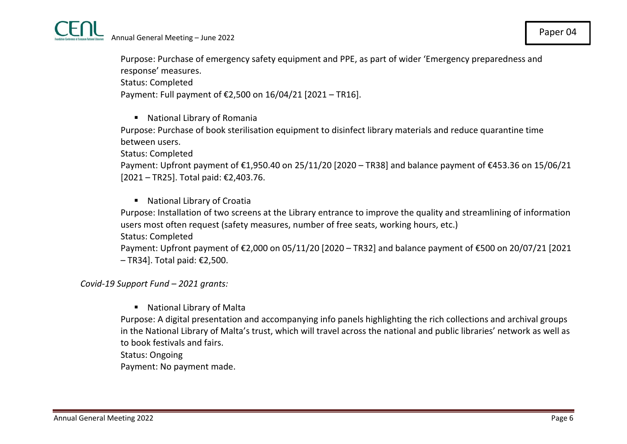



Purpose: Purchase of emergency safety equipment and PPE, as part of wider 'Emergency preparedness and response' measures.

Status: Completed

Payment: Full payment of €2,500 on 16/04/21 [2021 – TR16].

National Library of Romania

Purpose: Purchase of book sterilisation equipment to disinfect library materials and reduce quarantine time between users.

Status: Completed

Payment: Upfront payment of €1,950.40 on 25/11/20 [2020 – TR38] and balance payment of €453.36 on 15/06/21 [2021 – TR25]. Total paid: €2,403.76.

National Library of Croatia

Purpose: Installation of two screens at the Library entrance to improve the quality and streamlining of information users most often request (safety measures, number of free seats, working hours, etc.)

Status: Completed

Payment: Upfront payment of €2,000 on 05/11/20 [2020 – TR32] and balance payment of €500 on 20/07/21 [2021 – TR34]. Total paid: €2,500.

#### *Covid-19 Support Fund – 2021 grants:*

**National Library of Malta** 

Purpose: A digital presentation and accompanying info panels highlighting the rich collections and archival groups in the National Library of Malta's trust, which will travel across the national and public libraries' network as well as to book festivals and fairs.

Status: Ongoing

Payment: No payment made.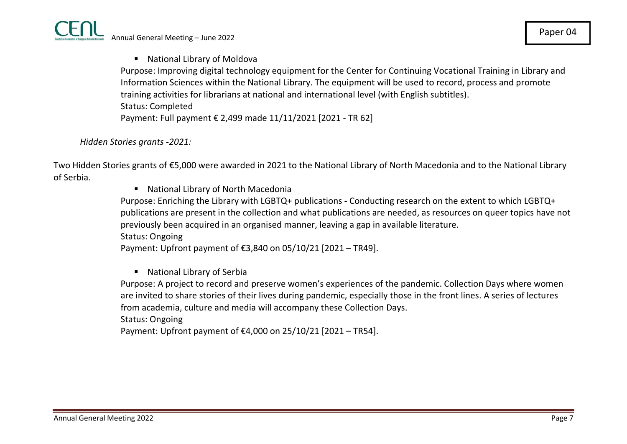

■ National Library of Moldova

Purpose: Improving digital technology equipment for the Center for Continuing Vocational Training in Library and Information Sciences within the National Library. The equipment will be used to record, process and promote training activities for librarians at national and international level (with English subtitles). Status: Completed Payment: Full payment € 2,499 made 11/11/2021 [2021 - TR 62]

*Hidden Stories grants -2021:*

Two Hidden Stories grants of €5,000 were awarded in 2021 to the National Library of North Macedonia and to the National Library of Serbia.

■ National Library of North Macedonia

Purpose: Enriching the Library with LGBTQ+ publications - Conducting research on the extent to which LGBTQ+ publications are present in the collection and what publications are needed, as resources on queer topics have not previously been acquired in an organised manner, leaving a gap in available literature.

Status: Ongoing

Payment: Upfront payment of €3,840 on 05/10/21 [2021 – TR49].

**National Library of Serbia** 

Purpose: A project to record and preserve women's experiences of the pandemic. Collection Days where women are invited to share stories of their lives during pandemic, especially those in the front lines. A series of lectures from academia, culture and media will accompany these Collection Days.

Status: Ongoing

Payment: Upfront payment of €4,000 on 25/10/21 [2021 – TR54].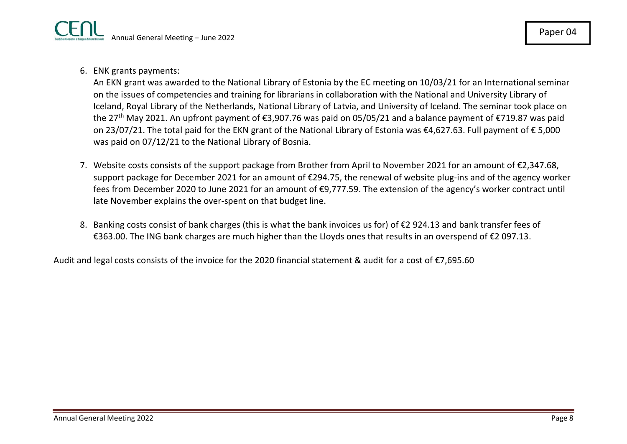6. ENK grants payments:

An EKN grant was awarded to the National Library of Estonia by the EC meeting on 10/03/21 for an International seminar on the issues of competencies and training for librarians in collaboration with the National and University Library of Iceland, Royal Library of the Netherlands, National Library of Latvia, and University of Iceland. The seminar took place on the 27th May 2021. An upfront payment of €3,907.76 was paid on 05/05/21 and a balance payment of €719.87 was paid on 23/07/21. The total paid for the EKN grant of the National Library of Estonia was €4,627.63. Full payment of € 5,000 was paid on 07/12/21 to the National Library of Bosnia.

- 7. Website costs consists of the support package from Brother from April to November 2021 for an amount of €2,347.68, support package for December 2021 for an amount of €294.75, the renewal of website plug-ins and of the agency worker fees from December 2020 to June 2021 for an amount of €9,777.59. The extension of the agency's worker contract until late November explains the over-spent on that budget line.
- 8. Banking costs consist of bank charges (this is what the bank invoices us for) of  $\epsilon$ 2 924.13 and bank transfer fees of €363.00. The ING bank charges are much higher than the Lloyds ones that results in an overspend of €2 097.13.

Audit and legal costs consists of the invoice for the 2020 financial statement & audit for a cost of €7,695.60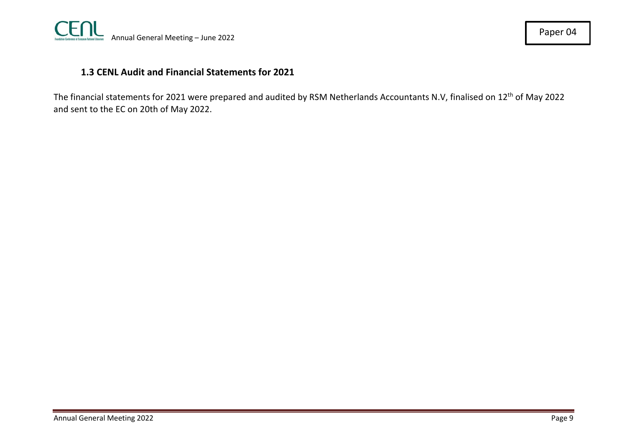

#### **1.3 CENL Audit and Financial Statements for 2021**

The financial statements for 2021 were prepared and audited by RSM Netherlands Accountants N.V, finalised on 12<sup>th</sup> of May 2022 and sent to the EC on 20th of May 2022.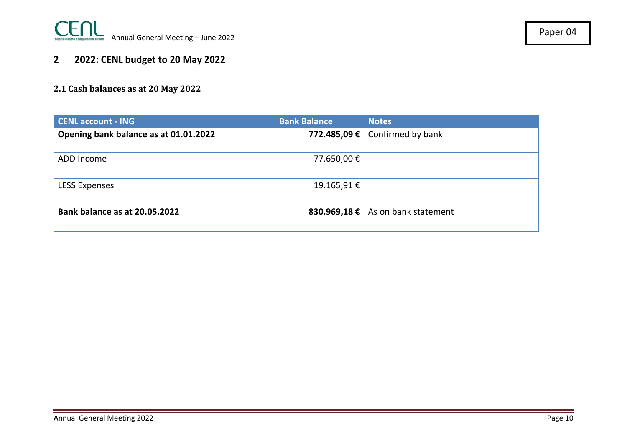

## **2 2022: CENL budget to 20 May 2022**

## **2.1 Cash balances as at 20 May 2022**

| <b>CENL account - ING</b>             | <b>Bank Balance</b> | <b>Notes</b>                      |
|---------------------------------------|---------------------|-----------------------------------|
| Opening bank balance as at 01.01.2022 |                     | 772.485,09 € Confirmed by bank    |
| ADD Income                            | 77.650,00 €         |                                   |
| <b>LESS Expenses</b>                  | 19.165,91€          |                                   |
| Bank balance as at 20.05.2022         |                     | 830.969,18 € As on bank statement |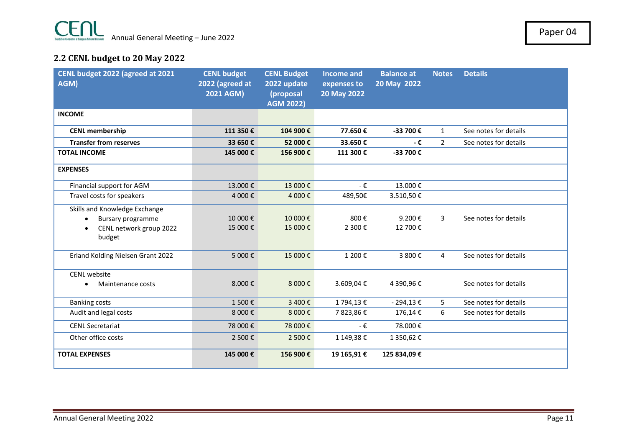## **2.2 CENL budget to 20 May 2022**

| CENL budget 2022 (agreed at 2021<br>AGM) | <b>CENL budget</b><br>2022 (agreed at<br>2021 AGM) | <b>CENL Budget</b><br>2022 update<br>(proposal<br><b>AGM 2022)</b> | <b>Income and</b><br>expenses to<br>20 May 2022 | <b>Balance at</b><br>20 May 2022 | <b>Notes</b> | <b>Details</b>        |
|------------------------------------------|----------------------------------------------------|--------------------------------------------------------------------|-------------------------------------------------|----------------------------------|--------------|-----------------------|
| <b>INCOME</b>                            |                                                    |                                                                    |                                                 |                                  |              |                       |
| <b>CENL membership</b>                   | 111 350€                                           | 104 900 €                                                          | 77.650€                                         | -33 700€                         | $\mathbf{1}$ | See notes for details |
| <b>Transfer from reserves</b>            | 33 650€                                            | 52 000 €                                                           | 33.650€                                         | - €                              | 2            | See notes for details |
| <b>TOTAL INCOME</b>                      | 145 000€                                           | 156 900 €                                                          | 111 300€                                        | -33 700€                         |              |                       |
| <b>EXPENSES</b>                          |                                                    |                                                                    |                                                 |                                  |              |                       |
| Financial support for AGM                | 13.000€                                            | 13 000€                                                            | $-\epsilon$                                     | 13.000€                          |              |                       |
| Travel costs for speakers                | 4 000€                                             | 4 000€                                                             | 489,50€                                         | 3.510,50€                        |              |                       |
| Skills and Knowledge Exchange            |                                                    |                                                                    |                                                 |                                  |              |                       |
| Bursary programme<br>$\bullet$           | 10 000€                                            | 10 000€                                                            | 800€                                            | 9.200€                           | 3            | See notes for details |
| CENL network group 2022<br>$\bullet$     | 15 000€                                            | 15 000€                                                            | 2 300 €                                         | 12 700€                          |              |                       |
| budget                                   |                                                    |                                                                    |                                                 |                                  |              |                       |
| Erland Kolding Nielsen Grant 2022        | 5 000€                                             | 15 000€                                                            | 1 200€                                          | 3 800€                           | 4            | See notes for details |
| <b>CENL</b> website                      |                                                    |                                                                    |                                                 |                                  |              |                       |
| Maintenance costs                        | 8.000€                                             | 8 000€                                                             | 3.609,04€                                       | 4 390,96 €                       |              | See notes for details |
| <b>Banking costs</b>                     | 1 500€                                             | 3 400 €                                                            | 1794,13€                                        | $-294,13€$                       | 5            | See notes for details |
| Audit and legal costs                    | 8 000€                                             | 8 000€                                                             | 7 823,86€                                       | 176,14€                          | 6            | See notes for details |
| <b>CENL Secretariat</b>                  | 78 000€                                            | 78 000€                                                            | - $\varepsilon$                                 | 78.000€                          |              |                       |
| Other office costs                       | 2 500€                                             | 2 500€                                                             | 1 149,38 €                                      | 1 350,62 €                       |              |                       |
| <b>TOTAL EXPENSES</b>                    | 145 000€                                           | 156 900€                                                           | 19 165,91 €                                     | 125 834,09 €                     |              |                       |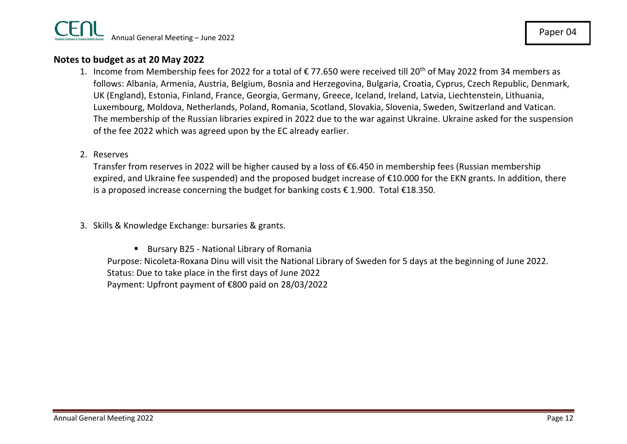#### **Notes to budget as at 20 May 2022**

- 1. Income from Membership fees for 2022 for a total of €77.650 were received till 20<sup>th</sup> of May 2022 from 34 members as follows: Albania, Armenia, Austria, Belgium, Bosnia and Herzegovina, Bulgaria, Croatia, Cyprus, Czech Republic, Denmark, UK (England), Estonia, Finland, France, Georgia, Germany, Greece, Iceland, Ireland, Latvia, Liechtenstein, Lithuania, Luxembourg, Moldova, Netherlands, Poland, Romania, Scotland, Slovakia, Slovenia, Sweden, Switzerland and Vatican. The membership of the Russian libraries expired in 2022 due to the war against Ukraine. Ukraine asked for the suspension of the fee 2022 which was agreed upon by the EC already earlier.
- 2. Reserves

Transfer from reserves in 2022 will be higher caused by a loss of €6.450 in membership fees (Russian membership expired, and Ukraine fee suspended) and the proposed budget increase of €10.000 for the EKN grants. In addition, there is a proposed increase concerning the budget for banking costs € 1.900. Total €18.350.

- 3. Skills & Knowledge Exchange: bursaries & grants.
	- Bursary B25 National Library of Romania

Purpose: Nicoleta-Roxana Dinu will visit the National Library of Sweden for 5 days at the beginning of June 2022. Status: Due to take place in the first days of June 2022 Payment: Upfront payment of €800 paid on 28/03/2022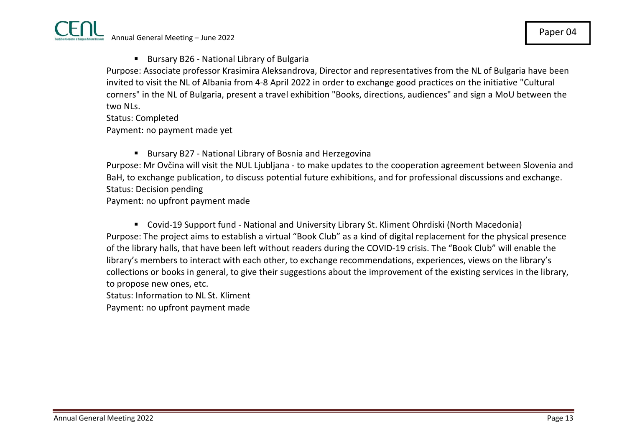

■ Bursary B26 - National Library of Bulgaria

Purpose: Associate professor Krasimira Aleksandrova, Director and representatives from the NL of Bulgaria have been invited to visit the NL of Albania from 4-8 April 2022 in order to exchange good practices on the initiative "Cultural corners" in the NL of Bulgaria, present a travel exhibition "Books, directions, audiences" and sign a MoU between the two NLs.

Status: Completed Payment: no payment made yet

■ Bursary B27 - National Library of Bosnia and Herzegovina

Purpose: Mr Ovčina will visit the NUL Ljubljana - to make updates to the cooperation agreement between Slovenia and BaH, to exchange publication, to discuss potential future exhibitions, and for professional discussions and exchange. Status: Decision pending

Payment: no upfront payment made

 Covid-19 Support fund - National and University Library St. Kliment Ohrdiski (North Macedonia) Purpose: The project aims to establish a virtual "Book Club" as a kind of digital replacement for the physical presence of the library halls, that have been left without readers during the COVID-19 crisis. The "Book Club" will enable the library's members to interact with each other, to exchange recommendations, experiences, views on the library's collections or books in general, to give their suggestions about the improvement of the existing services in the library, to propose new ones, etc.

Status: Information to NL St. Kliment

Payment: no upfront payment made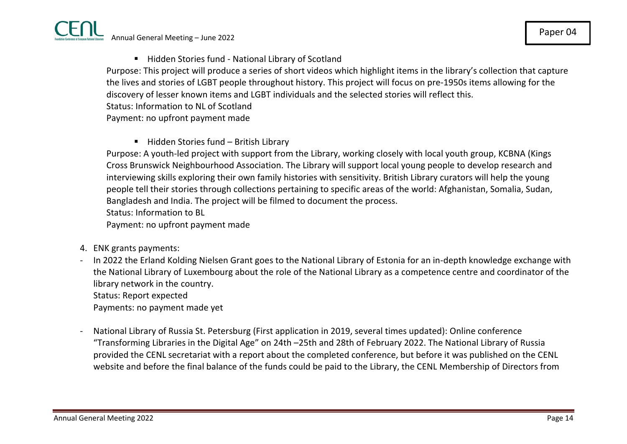

Hidden Stories fund - National Library of Scotland

Purpose: This project will produce a series of short videos which highlight items in the library's collection that capture the lives and stories of LGBT people throughout history. This project will focus on pre-1950s items allowing for the discovery of lesser known items and LGBT individuals and the selected stories will reflect this.

Status: Information to NL of Scotland

Payment: no upfront payment made

 $\blacksquare$  Hidden Stories fund – British Library

Purpose: A youth-led project with support from the Library, working closely with local youth group, KCBNA (Kings Cross Brunswick Neighbourhood Association. The Library will support local young people to develop research and interviewing skills exploring their own family histories with sensitivity. British Library curators will help the young people tell their stories through collections pertaining to specific areas of the world: Afghanistan, Somalia, Sudan, Bangladesh and India. The project will be filmed to document the process.

Status: Information to BL

Payment: no upfront payment made

- 4. ENK grants payments:
- In 2022 the Erland Kolding Nielsen Grant goes to the National Library of Estonia for an in-depth knowledge exchange with the National Library of Luxembourg about the role of the National Library as a competence centre and coordinator of the library network in the country.

Status: Report expected

Payments: no payment made yet

- National Library of Russia St. Petersburg (First application in 2019, several times updated): Online conference "Transforming Libraries in the Digital Age" on 24th –25th and 28th of February 2022. The National Library of Russia provided the CENL secretariat with a report about the completed conference, but before it was published on the CENL website and before the final balance of the funds could be paid to the Library, the CENL Membership of Directors from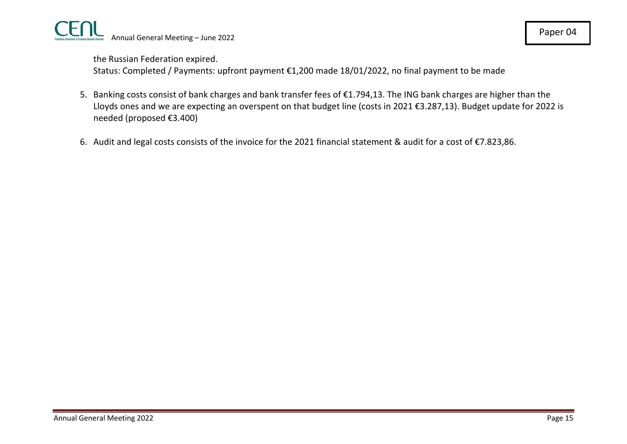

the Russian Federation expired.

Status: Completed / Payments: upfront payment €1,200 made 18/01/2022, no final payment to be made

- 5. Banking costs consist of bank charges and bank transfer fees of €1.794,13. The ING bank charges are higher than the Lloyds ones and we are expecting an overspent on that budget line (costs in 2021 €3.287,13). Budget update for 2022 is needed (proposed €3.400)
- 6. Audit and legal costs consists of the invoice for the 2021 financial statement & audit for a cost of €7.823,86.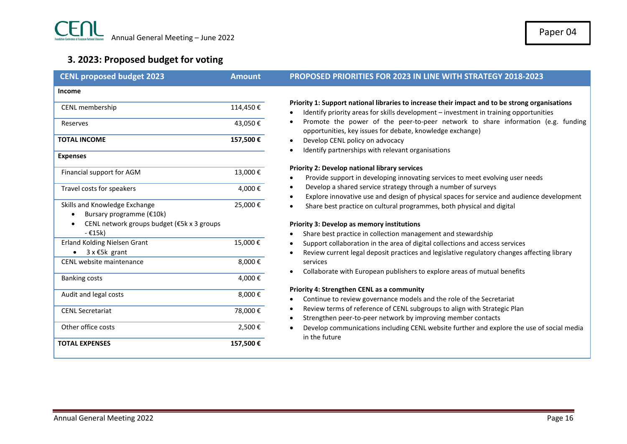## **3. 2023: Proposed budget for voting**

| <b>CENL proposed budget 2023</b>                           | <b>Amount</b> | PROPOSED PRIORITIES FOR 2023 IN LINE WITH STRATEGY 2018-2023                                                                                                                             |
|------------------------------------------------------------|---------------|------------------------------------------------------------------------------------------------------------------------------------------------------------------------------------------|
| Income                                                     |               |                                                                                                                                                                                          |
| CENL membership                                            | 114,450€      | Priority 1: Support national libraries to increase their impact and to be strong organisations<br>Identify priority areas for skills development - investment in training opportunities  |
| Reserves                                                   | 43,050€       | Promote the power of the peer-to-peer network to share information (e.g. funding<br>opportunities, key issues for debate, knowledge exchange)                                            |
| <b>TOTAL INCOME</b>                                        | 157,500€      | Develop CENL policy on advocacy<br>$\bullet$<br>Identify partnerships with relevant organisations                                                                                        |
| <b>Expenses</b>                                            |               |                                                                                                                                                                                          |
| Financial support for AGM                                  | 13,000€       | Priority 2: Develop national library services<br>Provide support in developing innovating services to meet evolving user needs                                                           |
| Travel costs for speakers                                  | 4,000€        | Develop a shared service strategy through a number of surveys<br>$\bullet$<br>Explore innovative use and design of physical spaces for service and audience development<br>$\bullet$     |
| Skills and Knowledge Exchange<br>Bursary programme (€10k)  | 25,000€       | Share best practice on cultural programmes, both physical and digital                                                                                                                    |
| CENL network groups budget (€5k x 3 groups<br>$-£15k)$     |               | Priority 3: Develop as memory institutions<br>Share best practice in collection management and stewardship                                                                               |
| Erland Kolding Nielsen Grant<br>$3x \text{ } \in 5k$ grant | 15,000€       | Support collaboration in the area of digital collections and access services<br>$\bullet$<br>Review current legal deposit practices and legislative regulatory changes affecting library |
| CENL website maintenance                                   | 8,000€        | services                                                                                                                                                                                 |
| <b>Banking costs</b>                                       | 4,000€        | Collaborate with European publishers to explore areas of mutual benefits<br>$\bullet$                                                                                                    |
| Audit and legal costs                                      | 8,000€        | Priority 4: Strengthen CENL as a community<br>Continue to review governance models and the role of the Secretariat<br>$\bullet$                                                          |
| <b>CENL Secretariat</b>                                    | 78,000€       | Review terms of reference of CENL subgroups to align with Strategic Plan<br>Strengthen peer-to-peer network by improving member contacts                                                 |
| Other office costs                                         | 2,500€        | Develop communications including CENL website further and explore the use of social media                                                                                                |
| <b>TOTAL EXPENSES</b>                                      | 157,500€      | in the future                                                                                                                                                                            |
|                                                            |               |                                                                                                                                                                                          |